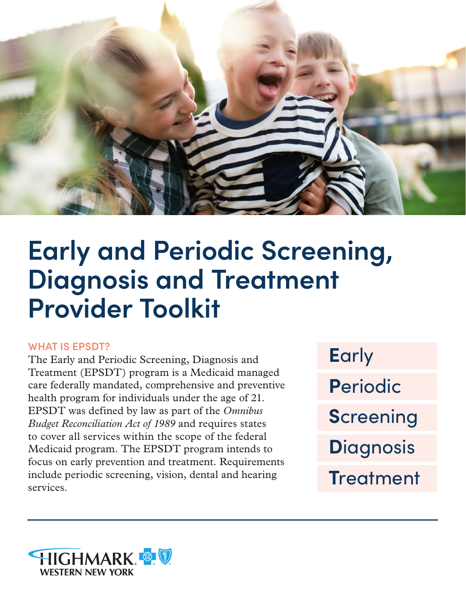

# **Early and Periodic Screening, Diagnosis and Treatment Provider Toolkit**

## **WHAT IS EPSDT?**

The Early and Periodic Screening, Diagnosis and Treatment (EPSDT) program is a Medicaid managed care federally mandated, comprehensive and preventive health program for individuals under the age of 21. EPSDT was defined by law as part of the *Omnibus Budget Reconciliation Act of 1989* and requires states to cover all services within the scope of the federal Medicaid program. The EPSDT program intends to focus on early prevention and treatment. Requirements include periodic screening, vision, dental and hearing services.

**E**arly **P**eriodic **S**creening **D**iagnosis **T**reatment